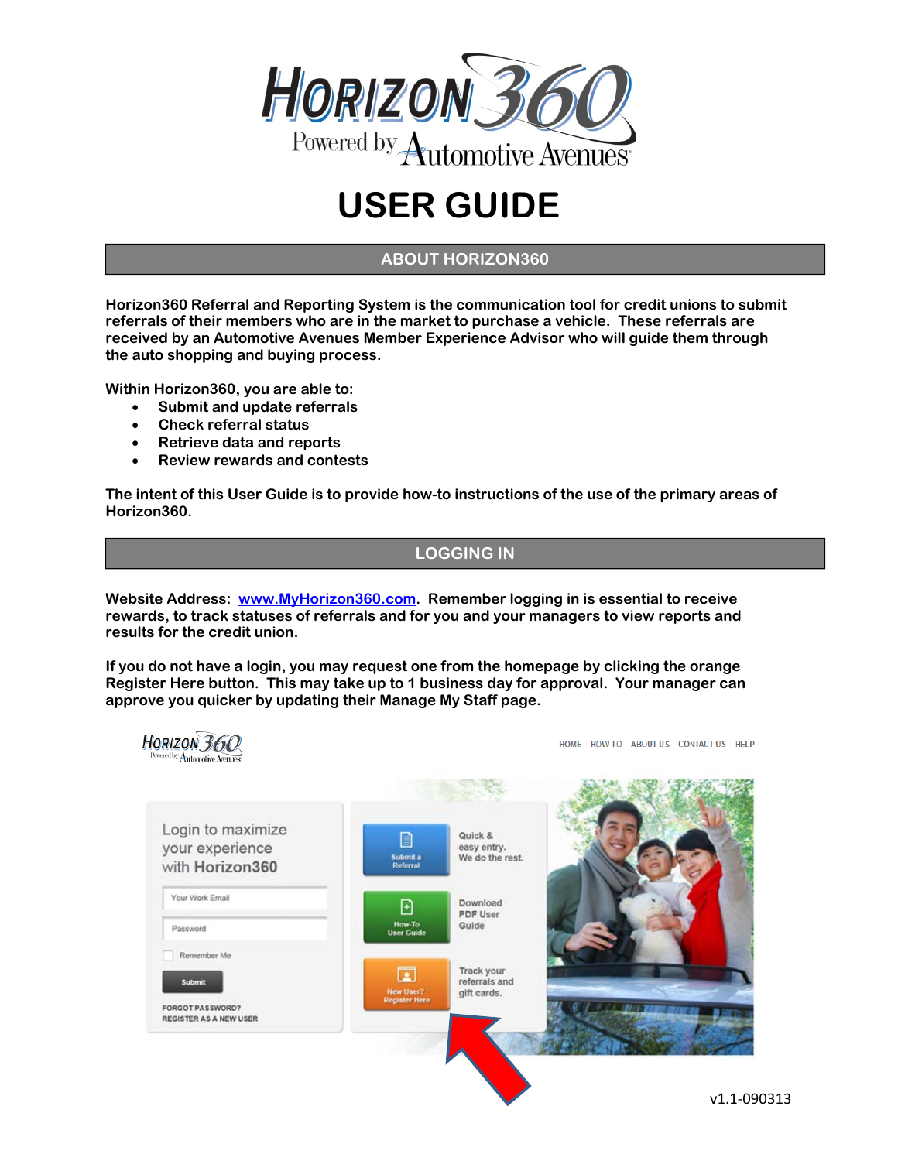

# **USER GUIDE**

## **ABOUT HORIZON360**

**Horizon360 Referral and Reporting System is the communication tool for credit unions to submit referrals of their members who are in the market to purchase a vehicle. These referrals are received by an Automotive Avenues Member Experience Advisor who will guide them through the auto shopping and buying process.** 

**Within Horizon360, you are able to:** 

- **Submit and update referrals**
- **Check referral status**
- **Retrieve data and reports**
- **Review rewards and contests**

**The intent of this User Guide is to provide how-to instructions of the use of the primary areas of Horizon360.** 

#### **LOGGING IN**

**Website Address: www.MyHorizon360.com. Remember logging in is essential to receive rewards, to track statuses of referrals and for you and your managers to view reports and results for the credit union.** 

**If you do not have a login, you may request one from the homepage by clicking the orange Register Here button. This may take up to 1 business day for approval. Your manager can approve you quicker by updating their Manage My Staff page.** 



HOME HOW TO ABOUT US CONTACT US HELP

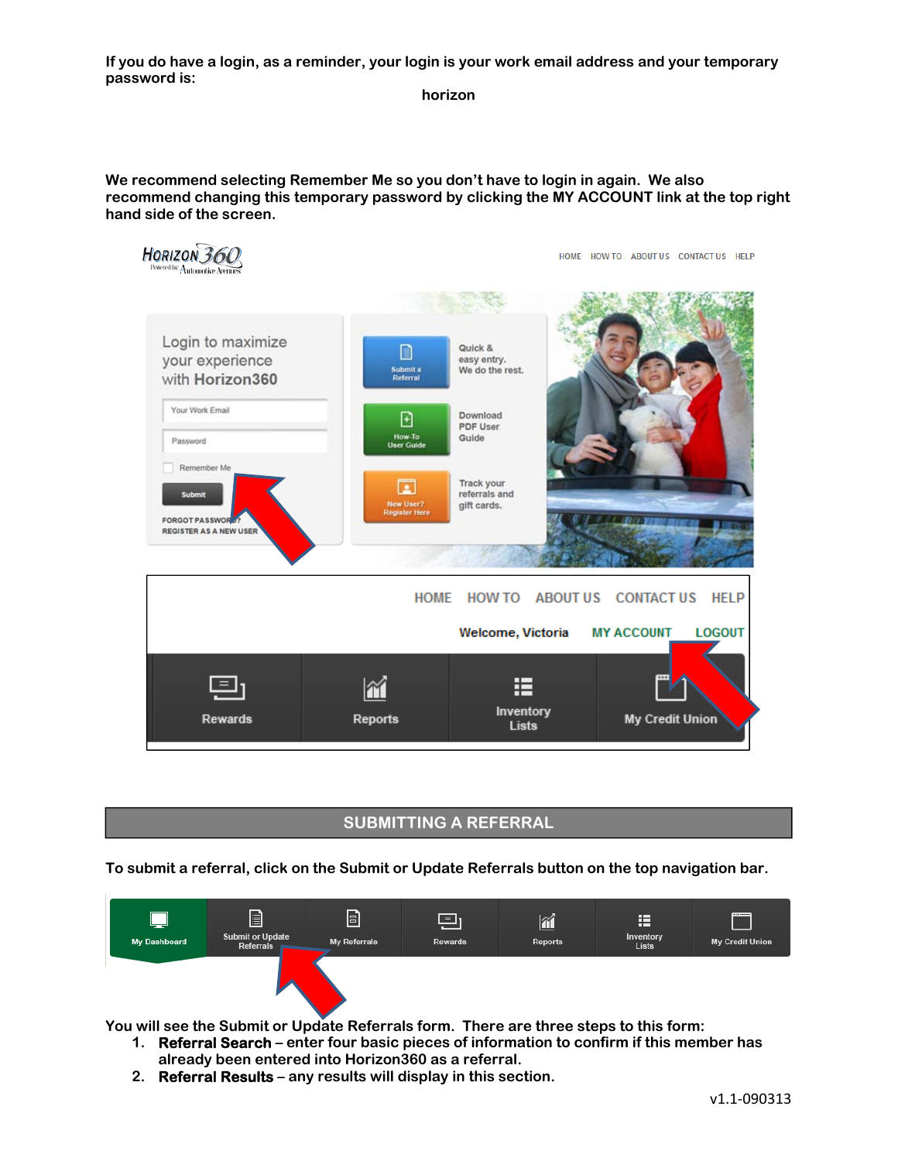**If you do have a login, as a reminder, your login is your work email address and your temporary password is:** 

**horizon** 

**We recommend selecting Remember Me so you don't have to login in again. We also recommend changing this temporary password by clicking the MY ACCOUNT link at the top right hand side of the screen.** 



## **SUBMITTING A REFERRAL**

**To submit a referral, click on the Submit or Update Referrals button on the top navigation bar.** 



**You will see the Submit or Update Referrals form. There are three steps to this form:** 

- **1. Referral Search enter four basic pieces of information to confirm if this member has already been entered into Horizon360 as a referral.**
- **2. Referral Results any results will display in this section.**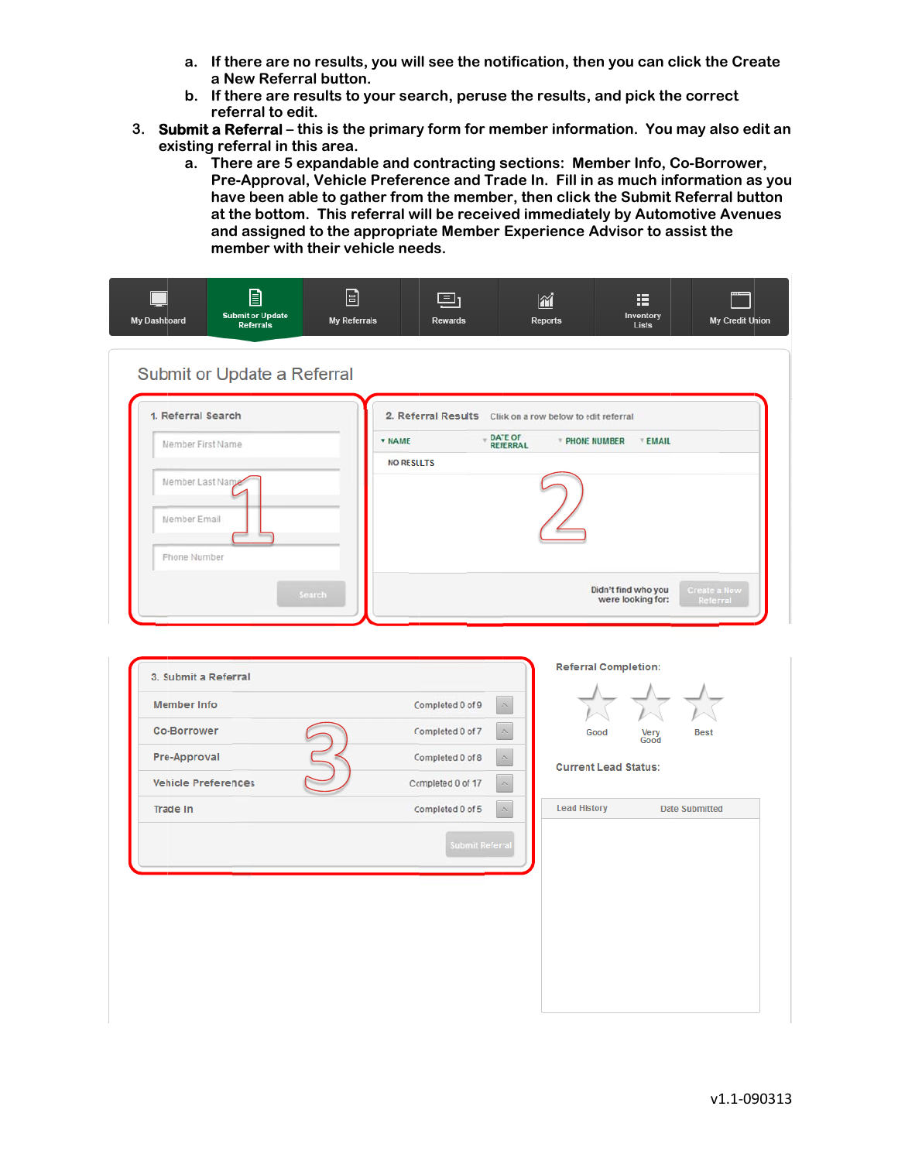- a. If there are no results, you will see the notification, then you can click the Create a New Referral button.
- b. If there are results to your search, peruse the results, and pick the correct referral to edit.
- 3. Submit a Referral this is the primary form for member information. You may also edit an existing referral in this area.
	- a. There are 5 expandable and contracting sections: Member Info, Co-Borrower, Pre-Approval, Vehicle Preference and Trade In. Fill in as much information as you have been able to gather from the member, then click the Submit Referral button at the bottom. This referral will be received immediately by Automotive Avenues and assigned to the appropriate Member Experience Advisor to assist the member with their vehicle needs.

| 1. Referral Search<br>Member First Name<br>Member Last Name<br>Member Email | <b>v NAME</b><br><b>NO RESULTS</b>                               | 2. Referral Results Click on a row below to edit referral<br>DATE OF<br>REFERRAL<br>* PHONE NUMBER<br><b>EMAIL</b> |                                                                             |  |
|-----------------------------------------------------------------------------|------------------------------------------------------------------|--------------------------------------------------------------------------------------------------------------------|-----------------------------------------------------------------------------|--|
| <b>Phone Number</b><br>Search                                               |                                                                  |                                                                                                                    | Didn't find who you<br><b>Create a New</b><br>were looking for:<br>Referral |  |
| 3. Submit a Referral                                                        |                                                                  | <b>Referral Completion:</b>                                                                                        |                                                                             |  |
| <b>Member Info</b>                                                          | Completed 0 of 9<br>$\widehat{\phantom{a}}$                      |                                                                                                                    |                                                                             |  |
| <b>Co-Borrower</b>                                                          | Completed 0 of 7                                                 | Good                                                                                                               | Very<br><b>Best</b><br>Good                                                 |  |
| Pre-Approval<br><b>Vehicle Preferences</b>                                  | Completed 0 of 8<br>Completed 0 of 17<br>$\widehat{\phantom{a}}$ |                                                                                                                    | <b>Current Lead Status:</b>                                                 |  |
| Trade In                                                                    | $\widehat{\phantom{a}}$<br>Completed 0 of 5                      | <b>Lead History</b>                                                                                                | <b>Date Submitted</b>                                                       |  |
|                                                                             | <b>Submit Referra</b>                                            |                                                                                                                    |                                                                             |  |
|                                                                             |                                                                  |                                                                                                                    |                                                                             |  |